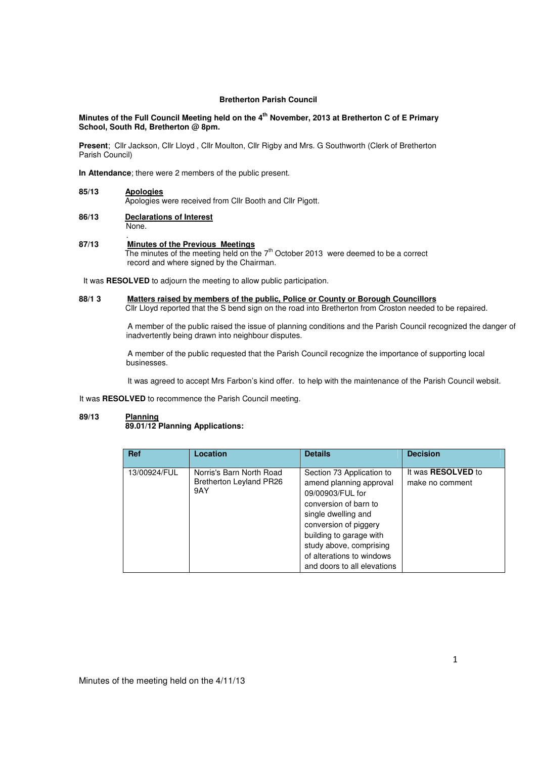# **Bretherton Parish Council**

# **Minutes of the Full Council Meeting held on the 4th November, 2013 at Bretherton C of E Primary School, South Rd, Bretherton @ 8pm.**

**Present**; Cllr Jackson, Cllr Lloyd , Cllr Moulton, Cllr Rigby and Mrs. G Southworth (Clerk of Bretherton Parish Council)

**In Attendance**; there were 2 members of the public present.

# **85/13 Apologies**

Apologies were received from Cllr Booth and Cllr Pigott.

**86/13 Declarations of Interest** None.

## . **87/13 Minutes of the Previous Meetings**

The minutes of the meeting held on the 7<sup>th</sup> October 2013 were deemed to be a correct record and where signed by the Chairman.

It was **RESOLVED** to adjourn the meeting to allow public participation.

# **88/1 3 Matters raised by members of the public, Police or County or Borough Councillors**

Cllr Lloyd reported that the S bend sign on the road into Bretherton from Croston needed to be repaired.

 A member of the public raised the issue of planning conditions and the Parish Council recognized the danger of inadvertently being drawn into neighbour disputes.

 A member of the public requested that the Parish Council recognize the importance of supporting local businesses.

It was agreed to accept Mrs Farbon's kind offer. to help with the maintenance of the Parish Council websit.

It was **RESOLVED** to recommence the Parish Council meeting.

## **89/13 Planning 89.01/12 Planning Applications:**

| <b>Ref</b>   | Location                                                          | <b>Details</b>                                                                                                                                                                                                                                                      | <b>Decision</b>                              |
|--------------|-------------------------------------------------------------------|---------------------------------------------------------------------------------------------------------------------------------------------------------------------------------------------------------------------------------------------------------------------|----------------------------------------------|
| 13/00924/FUL | Norris's Barn North Road<br><b>Bretherton Leyland PR26</b><br>9AY | Section 73 Application to<br>amend planning approval<br>09/00903/FUL for<br>conversion of barn to<br>single dwelling and<br>conversion of piggery<br>building to garage with<br>study above, comprising<br>of alterations to windows<br>and doors to all elevations | It was <b>RESOLVED</b> to<br>make no comment |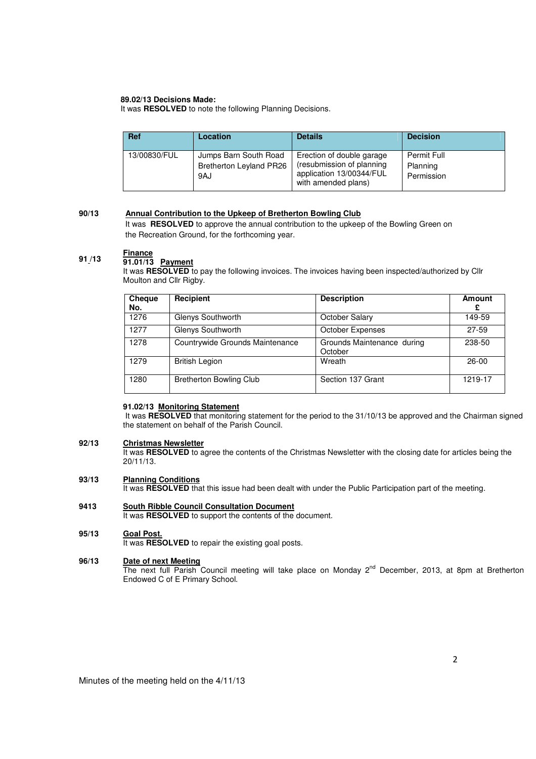# **89.02/13 Decisions Made:**

It was **RESOLVED** to note the following Planning Decisions.

| <b>Ref</b>   | Location                                                       | <b>Details</b>                                                                                            | <b>Decision</b>                       |
|--------------|----------------------------------------------------------------|-----------------------------------------------------------------------------------------------------------|---------------------------------------|
| 13/00830/FUL | Jumps Barn South Road<br><b>Bretherton Leyland PR26</b><br>9AJ | Erection of double garage<br>(resubmission of planning<br>application 13/00344/FUL<br>with amended plans) | Permit Full<br>Planning<br>Permission |

#### **90/13 Annual Contribution to the Upkeep of Bretherton Bowling Club**

 It was **RESOLVED** to approve the annual contribution to the upkeep of the Bowling Green on the Recreation Ground, for the forthcoming year.

## **91 /13 Finance**

# **91.01/13 Payment**

It was RESOLVED to pay the following invoices. The invoices having been inspected/authorized by Cllr Moulton and Cllr Rigby.

| <b>Cheque</b><br>No. | Recipient                       | <b>Description</b>                    | <b>Amount</b><br>£ |
|----------------------|---------------------------------|---------------------------------------|--------------------|
| 1276                 | Glenys Southworth               | October Salary                        | 149-59             |
| 1277                 | Glenys Southworth               | <b>October Expenses</b>               | $27 - 59$          |
| 1278                 | Countrywide Grounds Maintenance | Grounds Maintenance during<br>October | 238-50             |
| 1279                 | <b>British Legion</b>           | Wreath                                | $26-00$            |
| 1280                 | <b>Bretherton Bowling Club</b>  | Section 137 Grant                     | 1219-17            |

## **91.02/13 Monitoring Statement**

 It was **RESOLVED** that monitoring statement for the period to the 31/10/13 be approved and the Chairman signed the statement on behalf of the Parish Council.

#### **92/13 Christmas Newsletter**

It was RESOLVED to agree the contents of the Christmas Newsletter with the closing date for articles being the 20/11/13.

#### **93/13 Planning Conditions**

It was **RESOLVED** that this issue had been dealt with under the Public Participation part of the meeting.

## **9413 South Ribble Council Consultation Document**

It was **RESOLVED** to support the contents of the document.

### **95/13 Goal Post.**

It was **RESOLVED** to repair the existing goal posts.

### **96/13 Date of next Meeting**

The next full Parish Council meeting will take place on Monday 2<sup>nd</sup> December, 2013, at 8pm at Bretherton Endowed C of E Primary School.